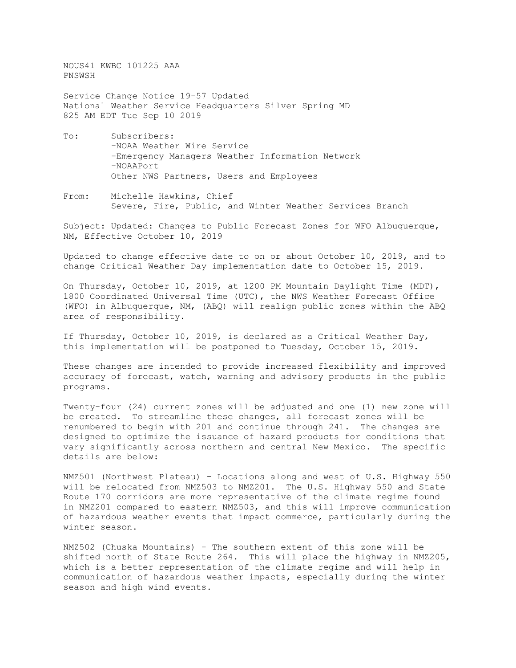NOUS41 KWBC 101225 AAA PNSWSH

Service Change Notice 19-57 Updated National Weather Service Headquarters Silver Spring MD 825 AM EDT Tue Sep 10 2019

- To: Subscribers: -NOAA Weather Wire Service -Emergency Managers Weather Information Network -NOAAPort Other NWS Partners, Users and Employees
- From: Michelle Hawkins, Chief Severe, Fire, Public, and Winter Weather Services Branch

Subject: Updated: Changes to Public Forecast Zones for WFO Albuquerque, NM, Effective October 10, 2019

Updated to change effective date to on or about October 10, 2019, and to change Critical Weather Day implementation date to October 15, 2019.

On Thursday, October 10, 2019, at 1200 PM Mountain Daylight Time (MDT), 1800 Coordinated Universal Time (UTC), the NWS Weather Forecast Office (WFO) in Albuquerque, NM, (ABQ) will realign public zones within the ABQ area of responsibility.

If Thursday, October 10, 2019, is declared as a Critical Weather Day, this implementation will be postponed to Tuesday, October 15, 2019.

These changes are intended to provide increased flexibility and improved accuracy of forecast, watch, warning and advisory products in the public programs.

Twenty-four (24) current zones will be adjusted and one (1) new zone will be created. To streamline these changes, all forecast zones will be renumbered to begin with 201 and continue through 241. The changes are designed to optimize the issuance of hazard products for conditions that vary significantly across northern and central New Mexico. The specific details are below:

NMZ501 (Northwest Plateau) - Locations along and west of U.S. Highway 550 will be relocated from NMZ503 to NMZ201. The U.S. Highway 550 and State Route 170 corridors are more representative of the climate regime found in NMZ201 compared to eastern NMZ503, and this will improve communication of hazardous weather events that impact commerce, particularly during the winter season.

NMZ502 (Chuska Mountains) - The southern extent of this zone will be shifted north of State Route 264. This will place the highway in NMZ205, which is a better representation of the climate regime and will help in communication of hazardous weather impacts, especially during the winter season and high wind events.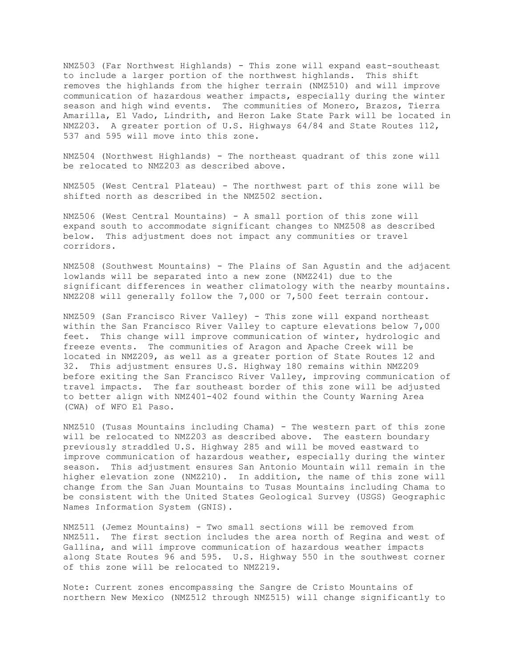NMZ503 (Far Northwest Highlands) - This zone will expand east-southeast to include a larger portion of the northwest highlands. This shift removes the highlands from the higher terrain (NMZ510) and will improve communication of hazardous weather impacts, especially during the winter season and high wind events. The communities of Monero, Brazos, Tierra Amarilla, El Vado, Lindrith, and Heron Lake State Park will be located in NMZ203. A greater portion of U.S. Highways 64/84 and State Routes 112, 537 and 595 will move into this zone.

NMZ504 (Northwest Highlands) - The northeast quadrant of this zone will be relocated to NMZ203 as described above.

NMZ505 (West Central Plateau) - The northwest part of this zone will be shifted north as described in the NMZ502 section.

NMZ506 (West Central Mountains) - A small portion of this zone will expand south to accommodate significant changes to NMZ508 as described below. This adjustment does not impact any communities or travel corridors.

NMZ508 (Southwest Mountains) - The Plains of San Agustin and the adjacent lowlands will be separated into a new zone (NMZ241) due to the significant differences in weather climatology with the nearby mountains. NMZ208 will generally follow the 7,000 or 7,500 feet terrain contour.

NMZ509 (San Francisco River Valley) - This zone will expand northeast within the San Francisco River Valley to capture elevations below 7,000 feet. This change will improve communication of winter, hydrologic and freeze events. The communities of Aragon and Apache Creek will be located in NMZ209, as well as a greater portion of State Routes 12 and 32. This adjustment ensures U.S. Highway 180 remains within NMZ209 before exiting the San Francisco River Valley, improving communication of travel impacts. The far southeast border of this zone will be adjusted to better align with NMZ401-402 found within the County Warning Area (CWA) of WFO El Paso.

NMZ510 (Tusas Mountains including Chama) - The western part of this zone will be relocated to NMZ203 as described above. The eastern boundary previously straddled U.S. Highway 285 and will be moved eastward to improve communication of hazardous weather, especially during the winter season. This adjustment ensures San Antonio Mountain will remain in the higher elevation zone (NMZ210). In addition, the name of this zone will change from the San Juan Mountains to Tusas Mountains including Chama to be consistent with the United States Geological Survey (USGS) Geographic Names Information System (GNIS).

NMZ511 (Jemez Mountains) - Two small sections will be removed from NMZ511. The first section includes the area north of Regina and west of Gallina, and will improve communication of hazardous weather impacts along State Routes 96 and 595. U.S. Highway 550 in the southwest corner of this zone will be relocated to NMZ219.

Note: Current zones encompassing the Sangre de Cristo Mountains of northern New Mexico (NMZ512 through NMZ515) will change significantly to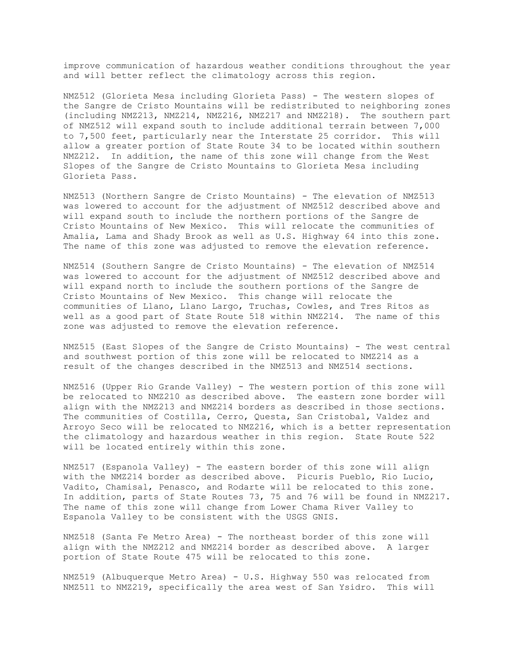improve communication of hazardous weather conditions throughout the year and will better reflect the climatology across this region.

NMZ512 (Glorieta Mesa including Glorieta Pass) - The western slopes of the Sangre de Cristo Mountains will be redistributed to neighboring zones (including NMZ213, NMZ214, NMZ216, NMZ217 and NMZ218). The southern part of NMZ512 will expand south to include additional terrain between 7,000 to 7,500 feet, particularly near the Interstate 25 corridor. This will allow a greater portion of State Route 34 to be located within southern NMZ212. In addition, the name of this zone will change from the West Slopes of the Sangre de Cristo Mountains to Glorieta Mesa including Glorieta Pass.

NMZ513 (Northern Sangre de Cristo Mountains) - The elevation of NMZ513 was lowered to account for the adjustment of NMZ512 described above and will expand south to include the northern portions of the Sangre de Cristo Mountains of New Mexico. This will relocate the communities of Amalia, Lama and Shady Brook as well as U.S. Highway 64 into this zone. The name of this zone was adjusted to remove the elevation reference.

NMZ514 (Southern Sangre de Cristo Mountains) - The elevation of NMZ514 was lowered to account for the adjustment of NMZ512 described above and will expand north to include the southern portions of the Sangre de Cristo Mountains of New Mexico. This change will relocate the communities of Llano, Llano Largo, Truchas, Cowles, and Tres Ritos as well as a good part of State Route 518 within NMZ214. The name of this zone was adjusted to remove the elevation reference.

NMZ515 (East Slopes of the Sangre de Cristo Mountains) - The west central and southwest portion of this zone will be relocated to NMZ214 as a result of the changes described in the NMZ513 and NMZ514 sections.

NMZ516 (Upper Rio Grande Valley) - The western portion of this zone will be relocated to NMZ210 as described above. The eastern zone border will align with the NMZ213 and NMZ214 borders as described in those sections. The communities of Costilla, Cerro, Questa, San Cristobal, Valdez and Arroyo Seco will be relocated to NMZ216, which is a better representation the climatology and hazardous weather in this region. State Route 522 will be located entirely within this zone.

NMZ517 (Espanola Valley) - The eastern border of this zone will align with the NMZ214 border as described above. Picuris Pueblo, Rio Lucio, Vadito, Chamisal, Penasco, and Rodarte will be relocated to this zone. In addition, parts of State Routes 73, 75 and 76 will be found in NMZ217. The name of this zone will change from Lower Chama River Valley to Espanola Valley to be consistent with the USGS GNIS.

NMZ518 (Santa Fe Metro Area) - The northeast border of this zone will align with the NMZ212 and NMZ214 border as described above. A larger portion of State Route 475 will be relocated to this zone.

NMZ519 (Albuquerque Metro Area) - U.S. Highway 550 was relocated from NMZ511 to NMZ219, specifically the area west of San Ysidro. This will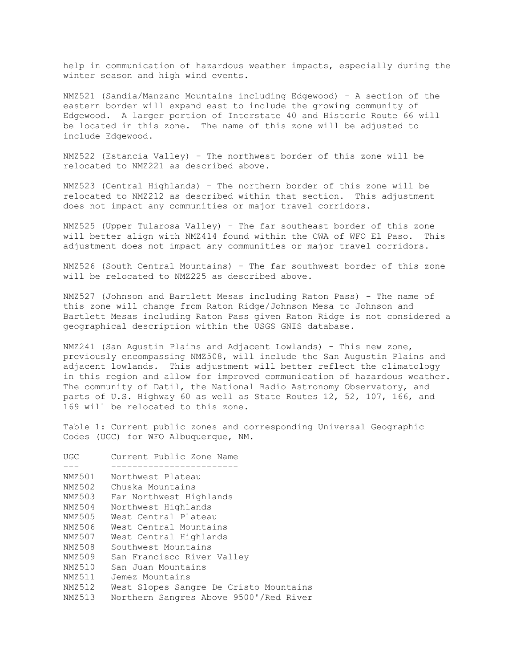help in communication of hazardous weather impacts, especially during the winter season and high wind events.

NMZ521 (Sandia/Manzano Mountains including Edgewood) - A section of the eastern border will expand east to include the growing community of Edgewood. A larger portion of Interstate 40 and Historic Route 66 will be located in this zone. The name of this zone will be adjusted to include Edgewood.

NMZ522 (Estancia Valley) - The northwest border of this zone will be relocated to NMZ221 as described above.

NMZ523 (Central Highlands) - The northern border of this zone will be relocated to NMZ212 as described within that section. This adjustment does not impact any communities or major travel corridors.

NMZ525 (Upper Tularosa Valley) - The far southeast border of this zone will better align with NMZ414 found within the CWA of WFO El Paso. This adjustment does not impact any communities or major travel corridors.

NMZ526 (South Central Mountains) - The far southwest border of this zone will be relocated to NMZ225 as described above.

NMZ527 (Johnson and Bartlett Mesas including Raton Pass) - The name of this zone will change from Raton Ridge/Johnson Mesa to Johnson and Bartlett Mesas including Raton Pass given Raton Ridge is not considered a geographical description within the USGS GNIS database.

NMZ241 (San Agustin Plains and Adjacent Lowlands) - This new zone, previously encompassing NMZ508, will include the San Augustin Plains and adjacent lowlands. This adjustment will better reflect the climatology in this region and allow for improved communication of hazardous weather. The community of Datil, the National Radio Astronomy Observatory, and parts of U.S. Highway 60 as well as State Routes 12, 52, 107, 166, and 169 will be relocated to this zone.

Table 1: Current public zones and corresponding Universal Geographic Codes (UGC) for WFO Albuquerque, NM.

| UGC    | Current Public Zone Name               |
|--------|----------------------------------------|
|        |                                        |
| NMZ501 | Northwest Plateau                      |
| NMZ502 | Chuska Mountains                       |
| NMZ503 | Far Northwest Highlands                |
| NMZ504 | Northwest Highlands                    |
| NMZ505 | West Central Plateau                   |
| NMZ506 | West Central Mountains                 |
| NMZ507 | West Central Highlands                 |
| NMZ508 | Southwest Mountains                    |
| NMZ509 | San Francisco River Valley             |
| NMZ510 | San Juan Mountains                     |
| NMZ511 | Jemez Mountains                        |
| NMZ512 | West Slopes Sangre De Cristo Mountains |
| NMZ513 | Northern Sangres Above 9500'/Red River |
|        |                                        |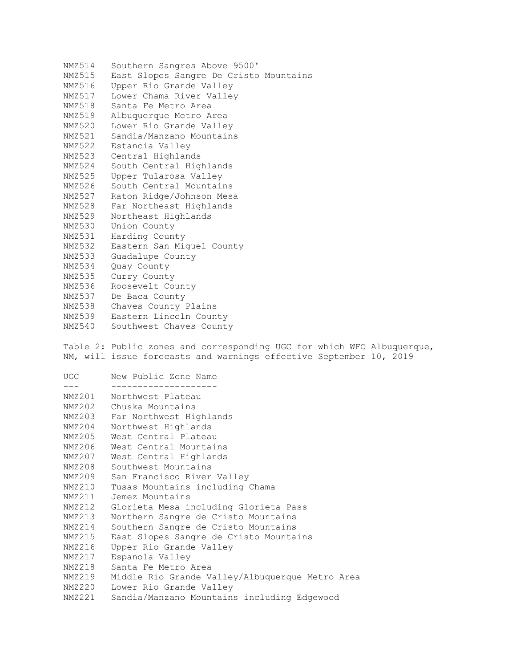NMZ514 Southern Sangres Above 9500' NMZ515 East Slopes Sangre De Cristo Mountains NMZ516 Upper Rio Grande Valley NMZ517 Lower Chama River Valley NMZ518 Santa Fe Metro Area NMZ519 Albuquerque Metro Area NMZ520 Lower Rio Grande Valley NMZ521 Sandia/Manzano Mountains NMZ522 Estancia Valley NMZ523 Central Highlands NMZ524 South Central Highlands NMZ525 Upper Tularosa Valley NMZ526 South Central Mountains NMZ527 Raton Ridge/Johnson Mesa NMZ528 Far Northeast Highlands NMZ529 Northeast Highlands NMZ530 Union County NMZ531 Harding County NMZ532 Eastern San Miguel County NMZ533 Guadalupe County NMZ534 Quay County NMZ535 Curry County NMZ536 Roosevelt County NMZ537 De Baca County NMZ538 Chaves County Plains NMZ539 Eastern Lincoln County NMZ540 Southwest Chaves County Table 2: Public zones and corresponding UGC for which WFO Albuquerque, NM, will issue forecasts and warnings effective September 10, 2019 UGC New Public Zone Name --- -------------------- Northwest Plateau NMZ202 Chuska Mountains NMZ203 Far Northwest Highlands NMZ204 Northwest Highlands NMZ205 West Central Plateau NMZ206 West Central Mountains NMZ207 West Central Highlands NMZ208 Southwest Mountains NMZ209 San Francisco River Valley NMZ210 Tusas Mountains including Chama

NMZ214 Southern Sangre de Cristo Mountains NMZ215 East Slopes Sangre de Cristo Mountains NMZ216 Upper Rio Grande Valley NMZ217 Espanola Valley NMZ218 Santa Fe Metro Area NMZ219 Middle Rio Grande Valley/Albuquerque Metro Area

NMZ212 Glorieta Mesa including Glorieta Pass NMZ213 Northern Sangre de Cristo Mountains

NMZ220 Lower Rio Grande Valley

NMZ211 Jemez Mountains

NMZ221 Sandia/Manzano Mountains including Edgewood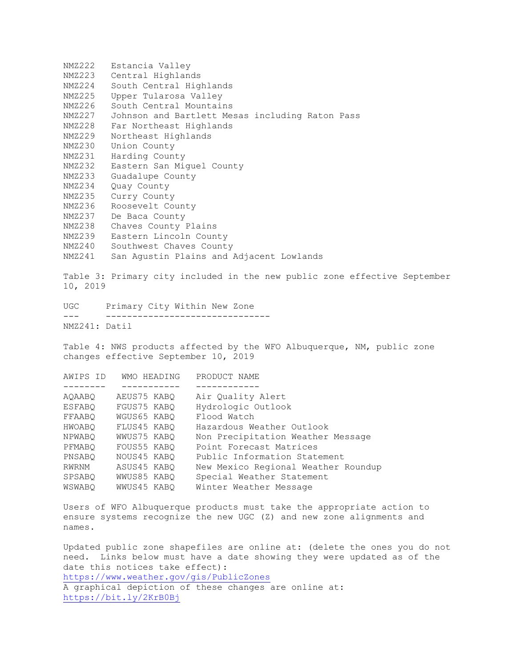NMZ222 Estancia Valley NMZ223 Central Highlands NMZ224 South Central Highlands NMZ225 Upper Tularosa Valley NMZ226 South Central Mountains NMZ227 Johnson and Bartlett Mesas including Raton Pass NMZ228 Far Northeast Highlands NMZ229 Northeast Highlands NMZ230 Union County NMZ231 Harding County NMZ232 Eastern San Miguel County NMZ233 Guadalupe County NMZ234 Quay County NMZ235 Curry County NMZ236 Roosevelt County NMZ237 De Baca County NMZ238 Chaves County Plains NMZ239 Eastern Lincoln County NMZ240 Southwest Chaves County NMZ241 San Agustin Plains and Adjacent Lowlands Table 3: Primary city included in the new public zone effective September 10, 2019 UGC Primary City Within New Zone --- ------------------------------- NMZ241: Datil Table 4: NWS products affected by the WFO Albuquerque, NM, public zone changes effective September 10, 2019 AWIPS ID WMO HEADING PRODUCT NAME -------- ----------- ------------ AQAABQ AEUS75 KABQ Air Quality Alert ESFABQ FGUS75 KABQ Hydrologic Outlook FFAABQ WGUS65 KABQ Flood Watch HWOABQ FLUS45 KABQ Hazardous Weather Outlook NPWABQ WWUS75 KABQ Non Precipitation Weather Message PFMABQ FOUS55 KABQ Point Forecast Matrices PNSABQ NOUS45 KABQ Public Information Statement<br>RWRNM ASUS45 KABQ New Mexico Regional Weather RWRNM ASUS45 KABQ New Mexico Regional Weather Roundup SPSABQ WWUS85 KABQ Special Weather Statement WSWABQ WWUS45 KABQ Winter Weather Message Users of WFO Albuquerque products must take the appropriate action to ensure systems recognize the new UGC (Z) and new zone alignments and names. Updated public zone shapefiles are online at: (delete the ones you do not need. Links below must have a date showing they were updated as of the date this notices take effect): <https://www.weather.gov/gis/PublicZones>

A graphical depiction of these changes are online at: <https://bit.ly/2KrB0Bj>